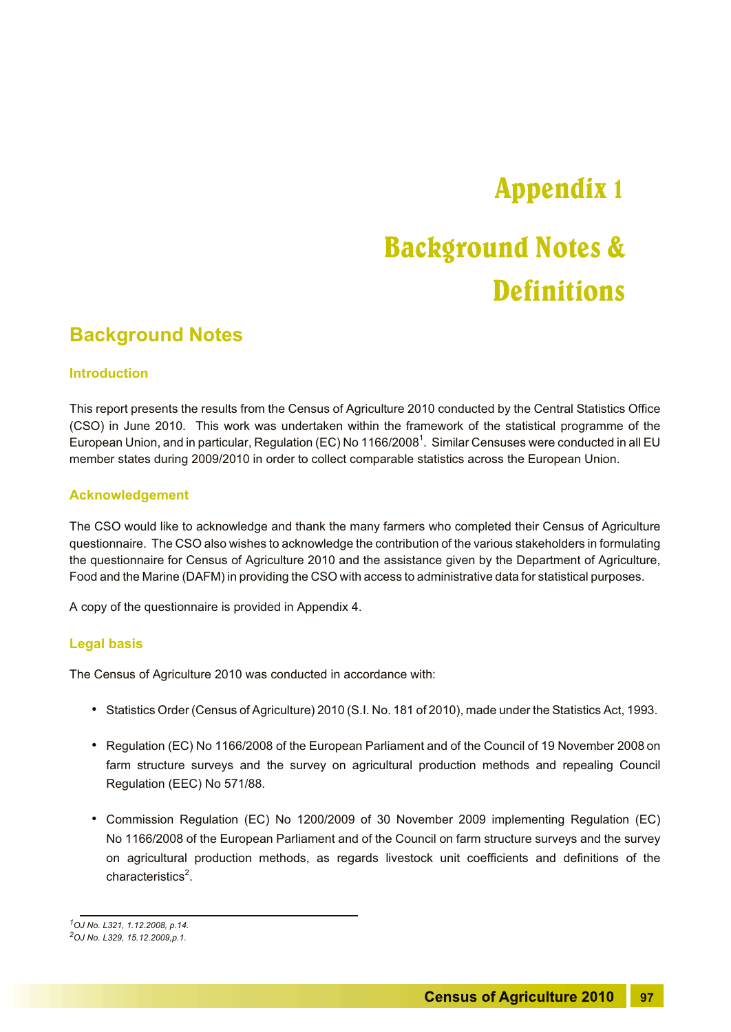# Appendix 1

## Background Notes & **Definitions**

### **Background Notes**

#### **Introduction**

This report presents the results from the Census of Agriculture 2010 conducted by the Central Statistics Office (CSO) in June 2010. This work was undertaken within the framework of the statistical programme of the European Union, and in particular, Regulation (EC) No 1166/2008<sup>1</sup>. Similar Censuses were conducted in all EU member states during 2009/2010 in order to collect comparable statistics across the European Union.

#### **Acknowledgement**

The CSO would like to acknowledge and thank the many farmers who completed their Census of Agriculture questionnaire. The CSO also wishes to acknowledge the contribution of the various stakeholders in formulating the questionnaire for Census of Agriculture 2010 and the assistance given by the Department of Agriculture, Food and the Marine (DAFM) in providing the CSO with access to administrative data for statistical purposes.

A copy of the questionnaire is provided in Appendix 4.

#### **Legal basis**

The Census of Agriculture 2010 was conducted in accordance with:

- Statistics Order (Census of Agriculture) 2010 (S.I. No. 181 of 2010), made under the Statistics Act, 1993.
- Regulation (EC) No 1166/2008 of the European Parliament and of the Council of 19 November 2008on farm structure surveys and the survey on agricultural production methods and repealing Council Regulation (EEC) No 571/88.
- Commission Regulation (EC) No 1200/2009 of 30 November 2009 implementing Regulation (EC) No 1166/2008 of the European Parliament and of the Council on farm structure surveys and the survey on agricultural production methods, as regards livestock unit coefficients and definitions of the characteristics<sup>2</sup>.

*<sup>1</sup>OJ No. L321, 1.12.2008, p.14.*

*<sup>2</sup>OJ No. L329, 15.12.2009,p.1.*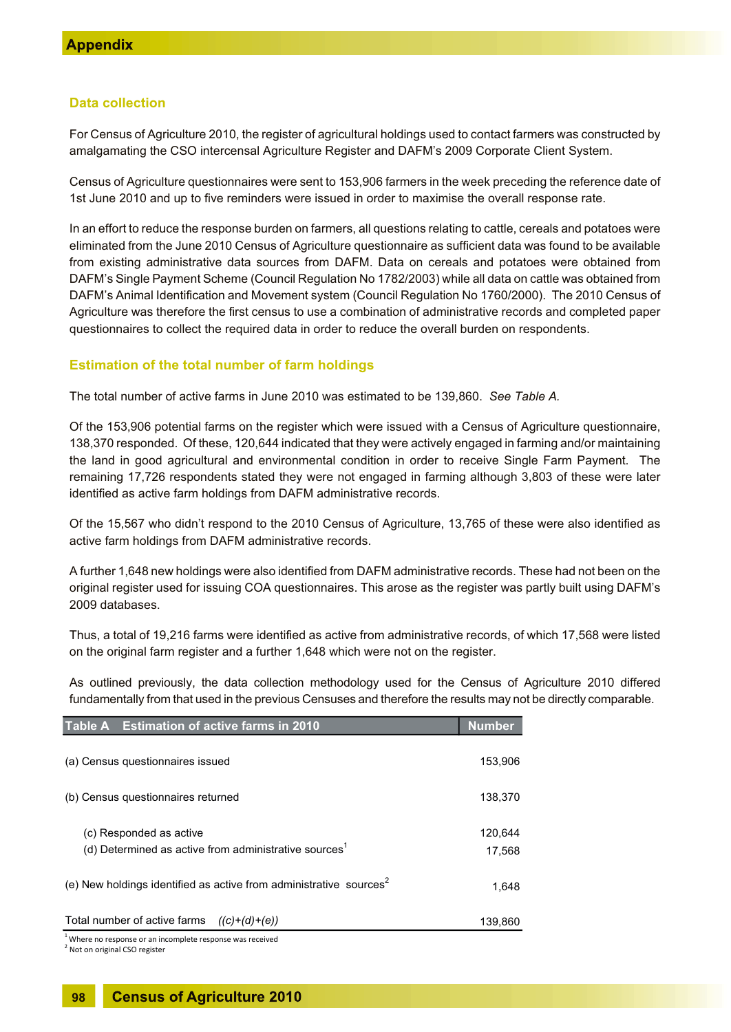#### **Data collection**

For Census of Agriculture 2010, the register of agricultural holdings used to contact farmers was constructed by amalgamating the CSO intercensal Agriculture Register and DAFM's 2009 Corporate Client System.

Census of Agriculture questionnaires were sent to 153,906 farmers in the week preceding the reference date of 1st June 2010 and up to five reminders were issued in order to maximise the overall response rate.

In an effort to reduce the response burden on farmers, all questions relating to cattle, cereals and potatoes were eliminated from the June 2010 Census of Agriculture questionnaire as sufficient data was found to be available from existing administrative data sources from DAFM. Data on cereals and potatoes were obtained from DAFM's Single Payment Scheme (Council Regulation No 1782/2003) while all data on cattle was obtained from DAFM's Animal Identification and Movement system (Council Regulation No 1760/2000). The 2010 Census of Agriculture was therefore the first census to use a combination of administrative records and completed paper questionnaires to collect the required data in order to reduce the overall burden on respondents.

#### **Estimation of the total number of farm holdings**

The total number of active farms in June 2010 was estimated to be 139,860. *See Table A.*

Of the 153,906 potential farms on the register which were issued with a Census of Agriculture questionnaire, 138,370 responded. Of these, 120,644 indicated that they were actively engaged in farming and/or maintaining the land in good agricultural and environmental condition in order to receive Single Farm Payment. The remaining 17,726 respondents stated they were not engaged in farming although 3,803 of these were later identified as active farm holdings from DAFM administrative records.

Of the 15,567 who didn't respond to the 2010 Census of Agriculture, 13,765 of these were also identified as active farm holdings from DAFM administrative records.

A further 1,648 new holdings were also identified from DAFM administrative records. These had not been on the original register used for issuing COA questionnaires. This arose as the register was partly built using DAFM's 2009 databases.

Thus, a total of 19,216 farms were identified as active from administrative records, of which 17,568 were listed on the original farm register and a further 1,648 which were not on the register.

As outlined previously, the data collection methodology used for the Census of Agriculture 2010 differed fundamentally from that used in the previous Censuses and therefore the results may not be directly comparable.

| Table A Estimation of active farms in 2010                                                                   | <b>Number</b>     |
|--------------------------------------------------------------------------------------------------------------|-------------------|
| (a) Census questionnaires issued                                                                             | 153,906           |
| (b) Census questionnaires returned                                                                           | 138,370           |
| (c) Responded as active<br>(d) Determined as active from administrative sources <sup>1</sup>                 | 120.644<br>17,568 |
| (e) New holdings identified as active from administrative sources <sup>2</sup>                               |                   |
| Total number of active farms $((c)+(d)+(e))$<br>$1$ Where no response or an incomplete response was received | 139,860           |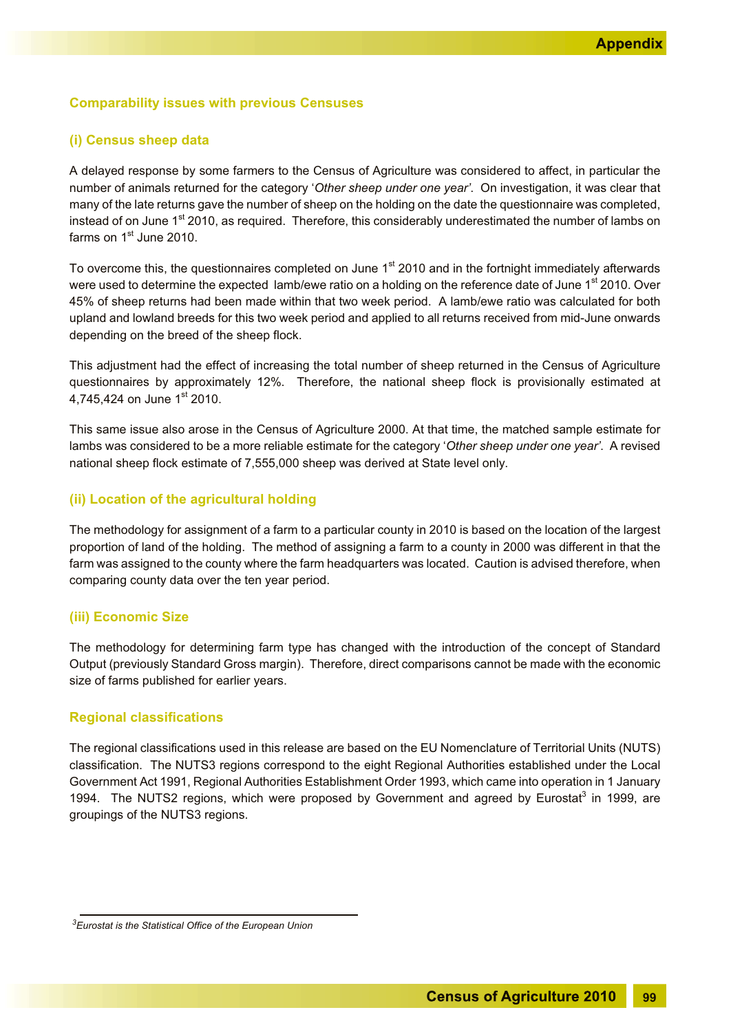#### **Comparability issues with previous Censuses**

#### **(i) Census sheep data**

A delayed response by some farmers to the Census of Agriculture was considered to affect, in particular the number of animals returned for the category '*Other sheep under one year'*. On investigation, it was clear that many of the late returns gave the number of sheep on the holding on the date the questionnaire was completed, instead of on June 1<sup>st</sup> 2010, as required. Therefore, this considerably underestimated the number of lambs on farms on  $1<sup>st</sup>$  June 2010.

To overcome this, the questionnaires completed on June 1<sup>st</sup> 2010 and in the fortnight immediately afterwards were used to determine the expected lamb/ewe ratio on a holding on the reference date of June 1st 2010. Over 45% of sheep returns had been made within that two week period. A lamb/ewe ratio was calculated for both upland and lowland breeds for this two week period and applied to all returns received from mid-June onwards depending on the breed of the sheep flock.

This adjustment had the effect of increasing the total number of sheep returned in the Census of Agriculture questionnaires by approximately 12%. Therefore, the national sheep flock is provisionally estimated at 4.745.424 on June 1st 2010.

This same issue also arose in the Census of Agriculture 2000. At that time, the matched sample estimate for lambs was considered to be a more reliable estimate for the category '*Other sheep under one year'*. A revised national sheep flock estimate of 7,555,000 sheep was derived at State level only.

#### **(ii) Location of the agricultural holding**

The methodology for assignment of a farm to a particular county in 2010 is based on the location of the largest proportion of land of the holding. The method of assigning a farm to a county in 2000 was different in that the farm was assigned to the county where the farm headquarters was located. Caution is advised therefore, when comparing county data over the ten year period.

#### **(iii) Economic Size**

The methodology for determining farm type has changed with the introduction of the concept of Standard Output (previously Standard Gross margin). Therefore, direct comparisons cannot be made with the economic size of farms published for earlier years.

#### **Regional classifications**

The regional classifications used in this release are based on the EU Nomenclature of Territorial Units (NUTS) classification. The NUTS3 regions correspond to the eight Regional Authorities established under the Local Government Act 1991, Regional Authorities Establishment Order 1993, which came into operation in 1 January 1994. The NUTS2 regions, which were proposed by Government and agreed by Eurostat<sup>3</sup> in 1999, are groupings of the NUTS3 regions.

*<sup>3</sup>Eurostat is the Statistical Office of the European Union*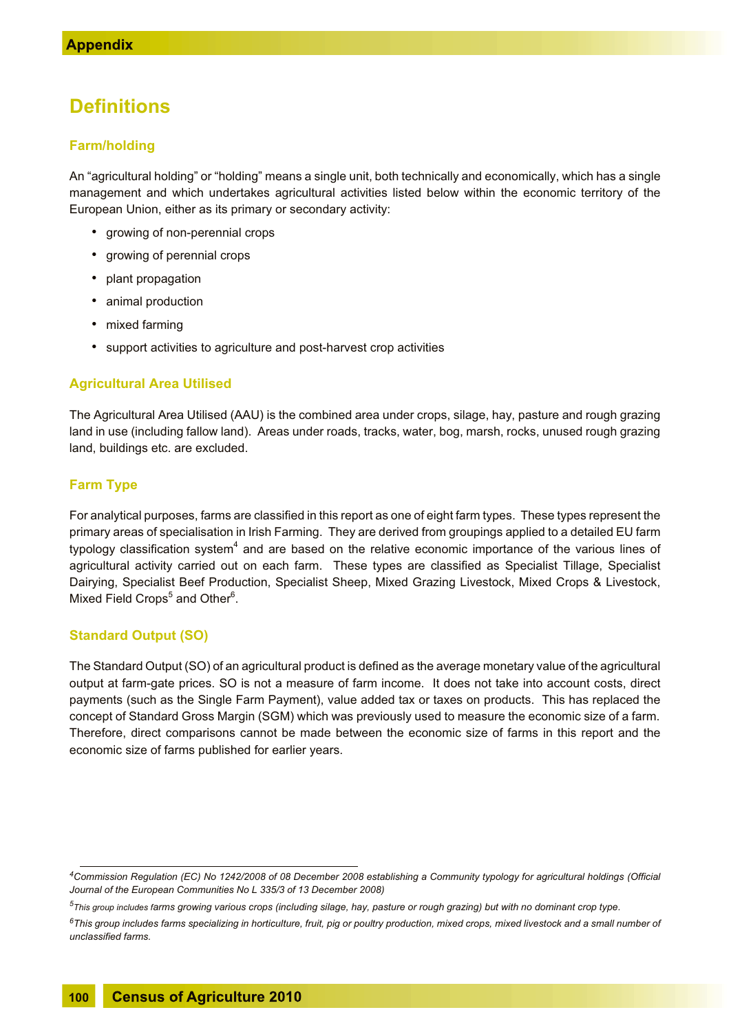### **Definitions**

#### **Farm/holding**

An "agricultural holding" or "holding" means a single unit, both technically and economically, which has a single management and which undertakes agricultural activities listed below within the economic territory of the European Union, either as its primary or secondary activity:

- growing of non-perennial crops
- growing of perennial crops
- plant propagation
- animal production
- mixed farming
- support activities to agriculture and post-harvest crop activities

#### **Agricultural Area Utilised**

The Agricultural Area Utilised (AAU) is the combined area under crops, silage, hay, pasture and rough grazing land in use (including fallow land). Areas under roads, tracks, water, bog, marsh, rocks, unused rough grazing land, buildings etc. are excluded.

#### **Farm Type**

For analytical purposes, farms are classified in this report as one of eight farm types. These types represent the primary areas of specialisation in Irish Farming. They are derived from groupings applied to a detailed EU farm typology classification system $^4$  and are based on the relative economic importance of the various lines of agricultural activity carried out on each farm. These types are classified as Specialist Tillage, Specialist Dairying, Specialist Beef Production, Specialist Sheep, Mixed Grazing Livestock, Mixed Crops & Livestock, Mixed Field Crops<sup>5</sup> and Other<sup>6</sup>.

#### **Standard Output (SO)**

The Standard Output (SO) of an agricultural product is defined as the average monetary value of the agricultural output at farm-gate prices. SO is not a measure of farm income. It does not take into account costs, direct payments (such as the Single Farm Payment), value added tax or taxes on products. This has replaced the concept of Standard Gross Margin (SGM) which was previously used to measure the economic size of a farm. Therefore, direct comparisons cannot be made between the economic size of farms in this report and the economic size of farms published for earlier years.

*<sup>4</sup>Commission Regulation (EC) No 1242/2008 of 08 December 2008 establishing a Community typology for agricultural holdings (Official Journal of the European Communities No L 335/3 of 13 December 2008)*

*<sup>5</sup>This group includes farms growing various crops (including silage, hay, pasture or rough grazing) but with no dominant crop type.*

*<sup>6</sup>This group includes farms specializing in horticulture, fruit, pig or poultry production, mixed crops, mixed livestock and a small number of unclassified farms.*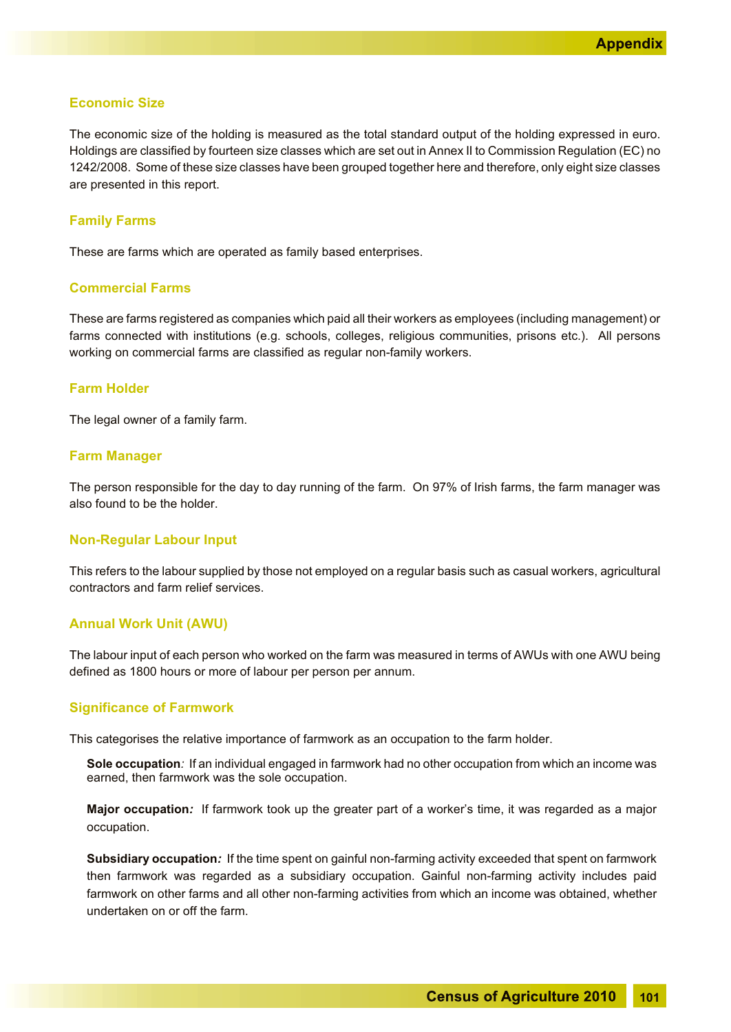#### **Economic Size**

The economic size of the holding is measured as the total standard output of the holding expressed in euro. Holdings are classified by fourteen size classes which are set out in Annex II to Commission Regulation (EC) no 1242/2008. Some of these size classes have been grouped together here and therefore, only eight size classes are presented in this report.

#### **Family Farms**

These are farms which are operated as family based enterprises.

#### **Commercial Farms**

These are farms registered as companies which paid all their workers as employees (including management) or farms connected with institutions (e.g. schools, colleges, religious communities, prisons etc.). All persons working on commercial farms are classified as regular non-family workers.

#### **Farm Holder**

The legal owner of a family farm.

#### **Farm Manager**

The person responsible for the day to day running of the farm. On 97% of Irish farms, the farm manager was also found to be the holder.

#### **Non-Regular Labour Input**

This refers to the labour supplied by those not employed on a regular basis such as casual workers, agricultural contractors and farm relief services.

#### **Annual Work Unit (AWU)**

The labour input of each person who worked on the farm was measured in terms of AWUs with one AWU being defined as 1800 hours or more of labour per person per annum.

#### **Significance of Farmwork**

This categorises the relative importance of farmwork as an occupation to the farm holder.

**Sole occupation***:* If an individual engaged in farmwork had no other occupation from which an income was earned, then farmwork was the sole occupation.

**Major occupation***:* If farmwork took up the greater part of a worker's time, it was regarded as a major occupation.

**Subsidiary occupation***:* If the time spent on gainful non-farming activity exceeded that spent on farmwork then farmwork was regarded as a subsidiary occupation. Gainful non-farming activity includes paid farmwork on other farms and all other non-farming activities from which an income was obtained, whether undertaken on or off the farm.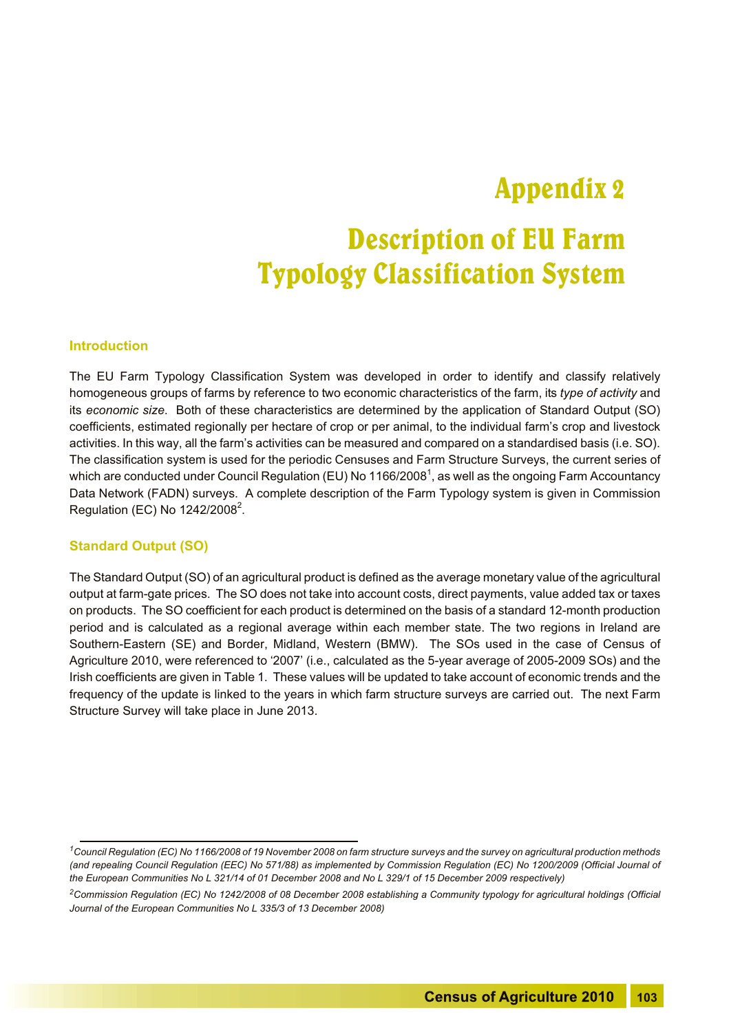### Appendix 2

## Description of EU Farm Typology Classification System

#### **Introduction**

The EU Farm Typology Classification System was developed in order to identify and classify relatively homogeneous groups of farms by reference to two economic characteristics of the farm, its *type of activity* and its *economic size*. Both of these characteristics are determined by the application of Standard Output (SO) coefficients, estimated regionally per hectare of crop or per animal, to the individual farm's crop and livestock activities. In this way, all the farm's activities can be measured and compared on a standardised basis (i.e. SO). The classification system is used for the periodic Censuses and Farm Structure Surveys, the current series of which are conducted under Council Regulation (EU) No 1166/2008 $^{\rm 1}$ , as well as the ongoing Farm Accountancy Data Network (FADN) surveys. A complete description of the Farm Typology system is given in Commission Regulation (EC) No 1242/2008 $^2$ .

#### **Standard Output (SO)**

The Standard Output (SO) of an agricultural product is defined as the average monetary value of the agricultural output at farm-gate prices. The SO does not take into account costs, direct payments, value added tax or taxes on products. The SO coefficient for each product is determined on the basis of a standard 12-month production period and is calculated as a regional average within each member state. The two regions in Ireland are Southern-Eastern (SE) and Border, Midland, Western (BMW). The SOs used in the case of Census of Agriculture 2010, were referenced to '2007' (i.e., calculated as the 5-year average of 2005-2009 SOs) and the Irish coefficients are given in Table 1. These values will be updated to take account of economic trends and the frequency of the update is linked to the years in which farm structure surveys are carried out. The next Farm Structure Survey will take place in June 2013.

*<sup>1</sup>Council Regulation (EC) No 1166/2008 of 19 November 2008 on farm structure surveys and the survey on agricultural production methods (and repealing Council Regulation (EEC) No 571/88) as implemented by Commission Regulation (EC) No 1200/2009 (Official Journal of the European Communities No L 321/14 of 01 December 2008 and No L 329/1 of 15 December 2009 respectively)*

*<sup>2</sup>Commission Regulation (EC) No 1242/2008 of 08 December 2008 establishing a Community typology for agricultural holdings (Official Journal of the European Communities No L 335/3 of 13 December 2008)*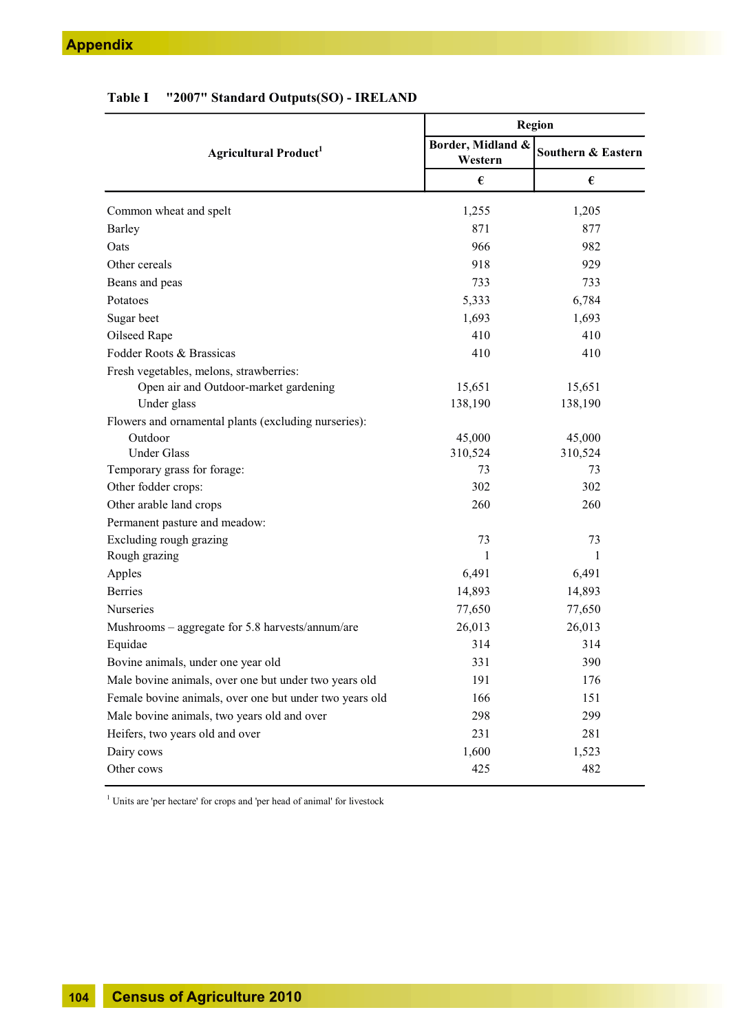|                                                         |                              | Region             |  |  |
|---------------------------------------------------------|------------------------------|--------------------|--|--|
| Agricultural Product <sup>1</sup>                       | Border, Midland &<br>Western | Southern & Eastern |  |  |
|                                                         | €                            | €                  |  |  |
| Common wheat and spelt                                  | 1,255                        | 1,205              |  |  |
| <b>Barley</b>                                           | 871                          | 877                |  |  |
| Oats                                                    | 966                          | 982                |  |  |
| Other cereals                                           | 918                          | 929                |  |  |
| Beans and peas                                          | 733                          | 733                |  |  |
| Potatoes                                                | 5,333                        | 6,784              |  |  |
| Sugar beet                                              | 1,693                        | 1,693              |  |  |
| Oilseed Rape                                            | 410                          | 410                |  |  |
| Fodder Roots & Brassicas                                | 410                          | 410                |  |  |
| Fresh vegetables, melons, strawberries:                 |                              |                    |  |  |
| Open air and Outdoor-market gardening                   | 15,651                       | 15,651             |  |  |
| Under glass                                             | 138,190                      | 138,190            |  |  |
| Flowers and ornamental plants (excluding nurseries):    |                              |                    |  |  |
| Outdoor                                                 | 45,000                       | 45,000             |  |  |
| <b>Under Glass</b>                                      | 310,524                      | 310,524            |  |  |
| Temporary grass for forage:                             | 73                           | 73                 |  |  |
| Other fodder crops:                                     | 302                          | 302                |  |  |
| Other arable land crops                                 | 260                          | 260                |  |  |
| Permanent pasture and meadow:                           |                              |                    |  |  |
| Excluding rough grazing                                 | 73                           | 73                 |  |  |
| Rough grazing                                           | 1                            | 1                  |  |  |
| Apples                                                  | 6,491                        | 6,491              |  |  |
| <b>Berries</b>                                          | 14,893                       | 14,893             |  |  |
| <b>Nurseries</b>                                        | 77,650                       | 77,650             |  |  |
| Mushrooms – aggregate for 5.8 harvests/annum/are        | 26,013                       | 26,013             |  |  |
| Equidae                                                 | 314                          | 314                |  |  |
| Bovine animals, under one year old                      | 331                          | 390                |  |  |
| Male bovine animals, over one but under two years old   | 191                          | 176                |  |  |
| Female bovine animals, over one but under two years old | 166                          | 151                |  |  |
| Male bovine animals, two years old and over             | 298                          | 299                |  |  |
| Heifers, two years old and over                         | 231                          | 281                |  |  |
| Dairy cows                                              | 1,600                        | 1,523              |  |  |
| Other cows                                              | 425                          | 482                |  |  |

**Table I "2007" Standard Outputs(SO) - IRELAND**

 $1$  Units are 'per hectare' for crops and 'per head of animal' for livestock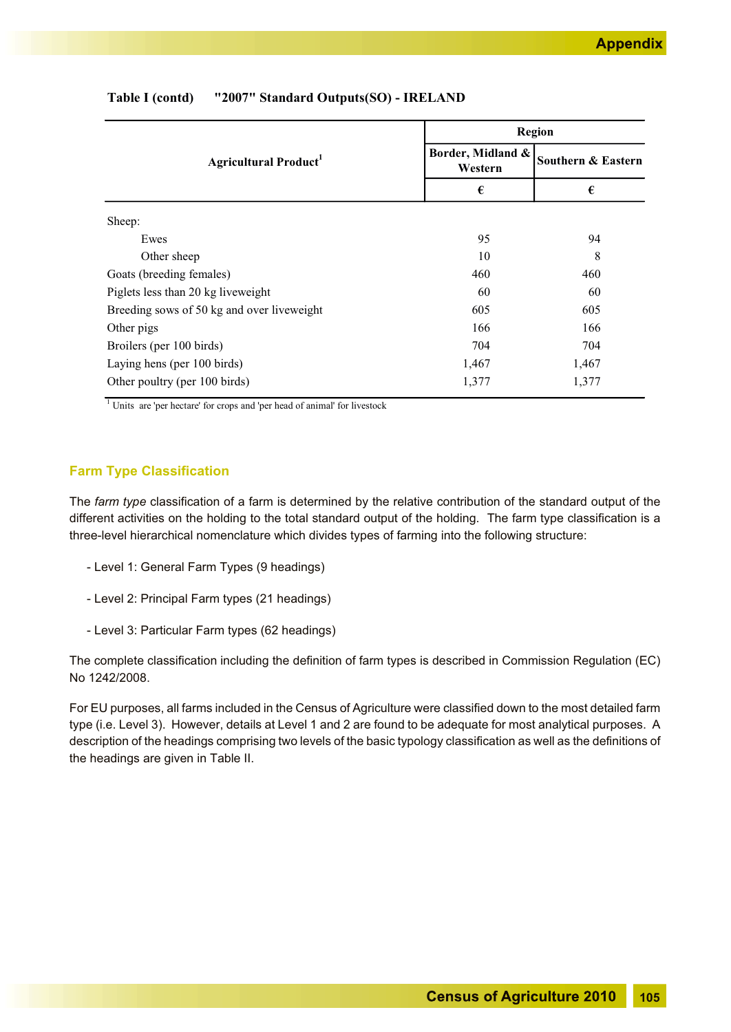|                                            |                              | <b>Region</b>      |  |  |
|--------------------------------------------|------------------------------|--------------------|--|--|
| <b>Agricultural Product</b> <sup>1</sup>   | Border, Midland &<br>Western | Southern & Eastern |  |  |
|                                            | €                            | €                  |  |  |
| Sheep:                                     |                              |                    |  |  |
| Ewes                                       | 95                           | 94                 |  |  |
| Other sheep                                | 10                           | 8                  |  |  |
| Goats (breeding females)                   | 460                          | 460                |  |  |
| Piglets less than 20 kg liveweight         | 60                           | 60                 |  |  |
| Breeding sows of 50 kg and over liveweight | 605                          | 605                |  |  |
| Other pigs                                 | 166                          | 166                |  |  |
| Broilers (per 100 birds)                   | 704                          | 704                |  |  |
| Laying hens (per 100 birds)                | 1,467                        | 1,467              |  |  |
| Other poultry (per 100 birds)              | 1,377                        | 1,377              |  |  |

#### **Table I (contd) "2007" Standard Outputs(SO) - IRELAND**

<sup>1</sup> Units are 'per hectare' for crops and 'per head of animal' for livestock

#### **Farm Type Classification**

The *farm type* classification of a farm is determined by the relative contribution of the standard output of the different activities on the holding to the total standard output of the holding. The farm type classification is a three-level hierarchical nomenclature which divides types of farming into the following structure:

- Level 1: General Farm Types (9 headings)
- Level 2: Principal Farm types (21 headings)
- Level 3: Particular Farm types (62 headings)

The complete classification including the definition of farm types is described in Commission Regulation (EC) No 1242/2008.

For EU purposes, all farms included in the Census of Agriculture were classified down to the most detailed farm type (i.e. Level 3). However, details at Level 1 and 2 are found to be adequate for most analytical purposes. A description of the headings comprising two levels of the basic typology classification as well as the definitions of the headings are given in Table II.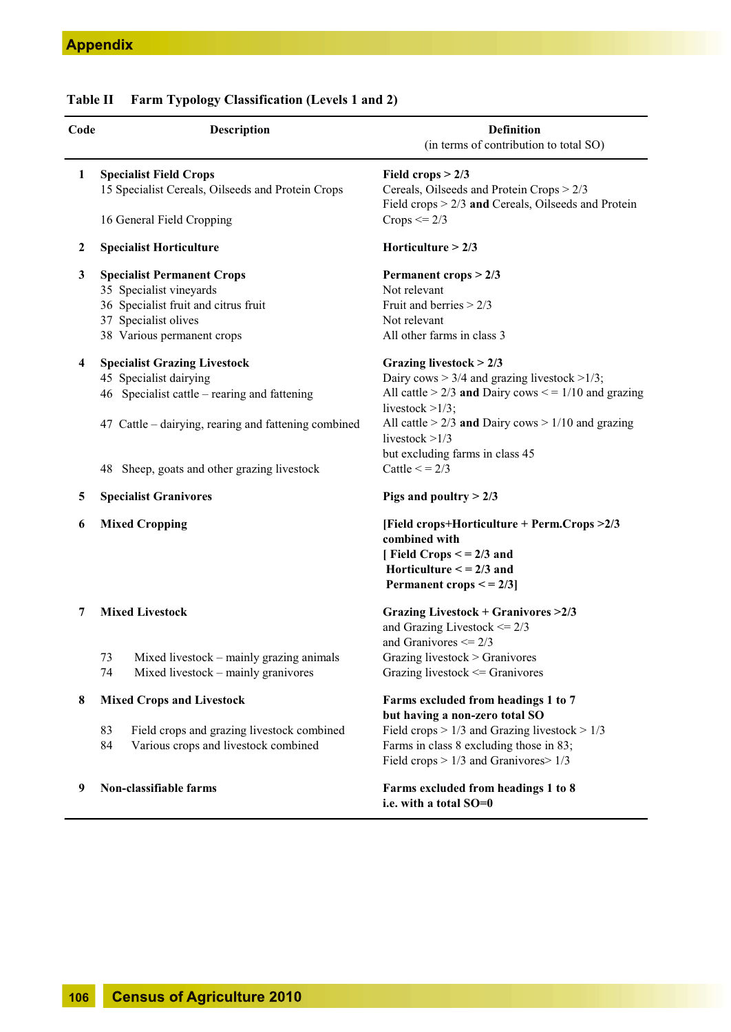### **Table II Farm Typology Classification (Levels 1 and 2)**

| Code                    | <b>Description</b>                                                                             | <b>Definition</b><br>(in terms of contribution to total SO)                                                                                                    |
|-------------------------|------------------------------------------------------------------------------------------------|----------------------------------------------------------------------------------------------------------------------------------------------------------------|
| $\mathbf{1}$            | <b>Specialist Field Crops</b><br>15 Specialist Cereals, Oilseeds and Protein Crops             | Field crops $> 2/3$<br>Cereals, Oilseeds and Protein Crops > 2/3<br>Field crops $> 2/3$ and Cereals, Oilseeds and Protein                                      |
|                         | 16 General Field Cropping                                                                      | Crops $\leq$ = 2/3                                                                                                                                             |
| $\boldsymbol{2}$        | <b>Specialist Horticulture</b>                                                                 | Horticulture $> 2/3$                                                                                                                                           |
| 3                       | <b>Specialist Permanent Crops</b>                                                              | Permanent crops > 2/3                                                                                                                                          |
|                         | 35 Specialist vineyards                                                                        | Not relevant                                                                                                                                                   |
|                         | 36 Specialist fruit and citrus fruit                                                           | Fruit and berries $> 2/3$                                                                                                                                      |
|                         | 37 Specialist olives                                                                           | Not relevant                                                                                                                                                   |
|                         | 38 Various permanent crops                                                                     | All other farms in class 3                                                                                                                                     |
| $\overline{\mathbf{4}}$ | <b>Specialist Grazing Livestock</b>                                                            | Grazing livestock $> 2/3$                                                                                                                                      |
|                         | 45 Specialist dairying                                                                         | Dairy cows $> 3/4$ and grazing livestock $> 1/3$ ;                                                                                                             |
|                         | 46 Specialist cattle – rearing and fattening                                                   | All cattle > $2/3$ and Dairy cows < = $1/10$ and grazing<br>livestock $>1/3$ ;                                                                                 |
|                         | 47 Cattle – dairying, rearing and fattening combined                                           | All cattle $> 2/3$ and Dairy cows $> 1/10$ and grazing<br>livestock $>1/3$<br>but excluding farms in class 45                                                  |
|                         | 48 Sheep, goats and other grazing livestock                                                    | Cattle $\leq$ = 2/3                                                                                                                                            |
| 5                       | <b>Specialist Granivores</b>                                                                   | Pigs and poultry $> 2/3$                                                                                                                                       |
| 6                       | <b>Mixed Cropping</b>                                                                          | [Field crops+Horticulture + Perm.Crops >2/3<br>combined with<br>[Field Crops $\lt$ = 2/3 and<br>Horticulture $\leq$ = 2/3 and<br>Permanent crops $\leq$ = 2/3] |
| 7                       | <b>Mixed Livestock</b>                                                                         | Grazing Livestock + Granivores >2/3<br>and Grazing Livestock $\leq$ 2/3<br>and Granivores $\leq$ 2/3                                                           |
|                         | 73<br>Mixed livestock – mainly grazing animals<br>Mixed livestock – mainly granivores<br>74    | Grazing livestock > Granivores<br>Grazing livestock <= Granivores                                                                                              |
| 8                       | <b>Mixed Crops and Livestock</b>                                                               | Farms excluded from headings 1 to 7<br>but having a non-zero total SO                                                                                          |
|                         | 83<br>Field crops and grazing livestock combined<br>Various crops and livestock combined<br>84 | Field crops $> 1/3$ and Grazing livestock $> 1/3$<br>Farms in class 8 excluding those in 83;<br>Field crops $> 1/3$ and Granivores $> 1/3$                     |
| 9                       | Non-classifiable farms                                                                         | Farms excluded from headings 1 to 8<br>i.e. with a total SO=0                                                                                                  |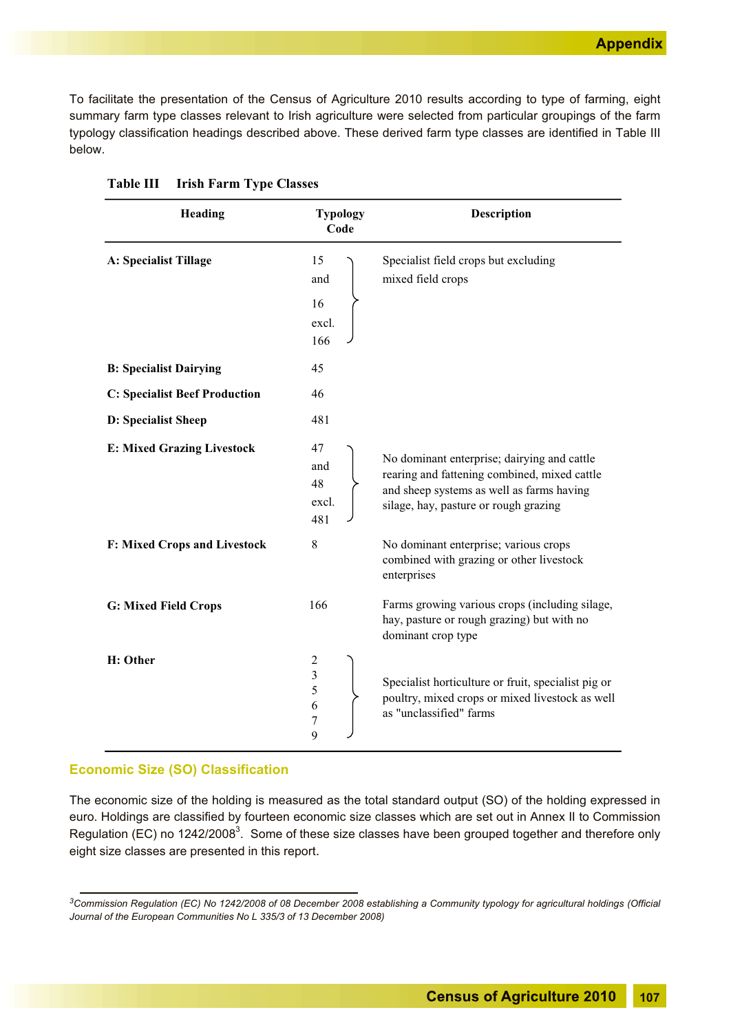To facilitate the presentation of the Census of Agriculture 2010 results according to type of farming, eight summary farm type classes relevant to Irish agriculture were selected from particular groupings of the farm typology classification headings described above. These derived farm type classes are identified in Table III below.

| Heading                              | <b>Typology</b><br>Code                 | Description                                                                                                                                                                       |
|--------------------------------------|-----------------------------------------|-----------------------------------------------------------------------------------------------------------------------------------------------------------------------------------|
| A: Specialist Tillage                | 15<br>and<br>16<br>excl.<br>166         | Specialist field crops but excluding<br>mixed field crops                                                                                                                         |
| <b>B: Specialist Dairying</b>        | 45                                      |                                                                                                                                                                                   |
| <b>C: Specialist Beef Production</b> | 46                                      |                                                                                                                                                                                   |
| D: Specialist Sheep                  | 481                                     |                                                                                                                                                                                   |
| <b>E: Mixed Grazing Livestock</b>    | 47<br>and<br>48<br>excl.<br>481         | No dominant enterprise; dairying and cattle<br>rearing and fattening combined, mixed cattle<br>and sheep systems as well as farms having<br>silage, hay, pasture or rough grazing |
| F: Mixed Crops and Livestock         | $\,$ 8 $\,$                             | No dominant enterprise; various crops<br>combined with grazing or other livestock<br>enterprises                                                                                  |
| <b>G: Mixed Field Crops</b>          | 166                                     | Farms growing various crops (including silage,<br>hay, pasture or rough grazing) but with no<br>dominant crop type                                                                |
| H: Other                             | $\overline{c}$<br>3<br>5<br>6<br>7<br>9 | Specialist horticulture or fruit, specialist pig or<br>poultry, mixed crops or mixed livestock as well<br>as "unclassified" farms                                                 |

| <b>Table III</b> |  |  |  | <b>Irish Farm Type Classes</b> |
|------------------|--|--|--|--------------------------------|
|------------------|--|--|--|--------------------------------|

#### **Economic Size (SO) Classification**

The economic size of the holding is measured as the total standard output (SO) of the holding expressed in euro. Holdings are classified by fourteen economic size classes which are set out in Annex II to Commission Regulation (EC) no 1242/2008<sup>3</sup>. Some of these size classes have been grouped together and therefore only eight size classes are presented in this report.

*<sup>3</sup>Commission Regulation (EC) No 1242/2008 of 08 December 2008 establishing a Community typology for agricultural holdings (Official Journal of the European Communities No L 335/3 of 13 December 2008)*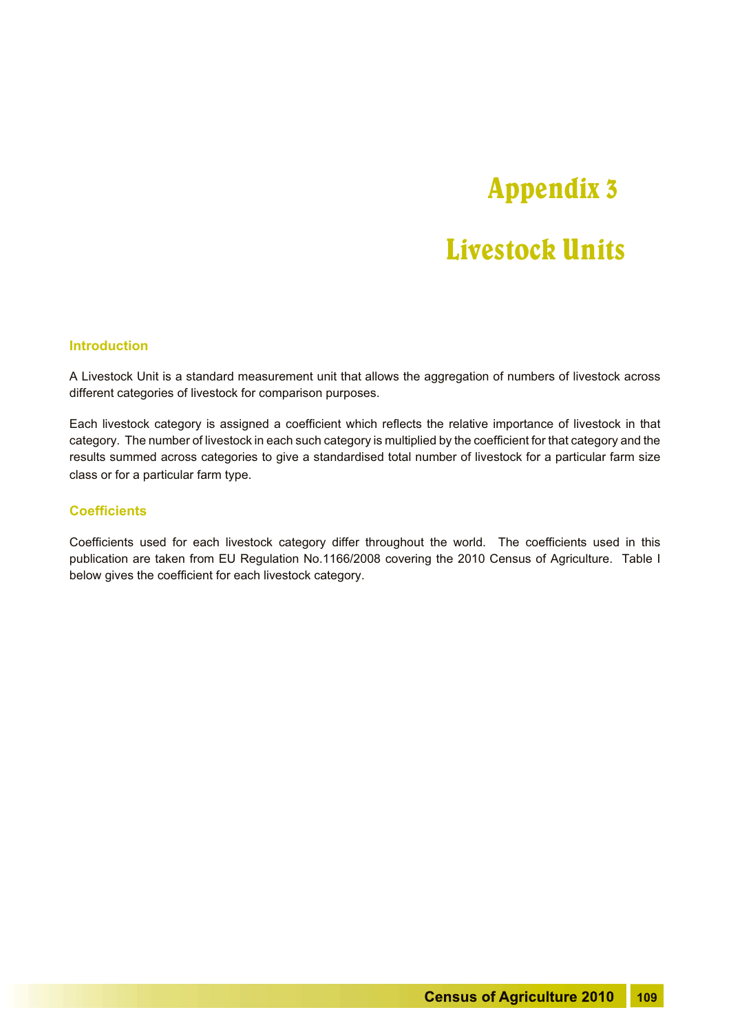## Appendix 3

### Livestock Units

#### **Introduction**

A Livestock Unit is a standard measurement unit that allows the aggregation of numbers of livestock across different categories of livestock for comparison purposes.

Each livestock category is assigned a coefficient which reflects the relative importance of livestock in that category. The number of livestock in each such category is multiplied by the coefficient for that category and the results summed across categories to give a standardised total number of livestock for a particular farm size class or for a particular farm type.

#### **Coefficients**

Coefficients used for each livestock category differ throughout the world. The coefficients used in this publication are taken from EU Regulation No.1166/2008 covering the 2010 Census of Agriculture. Table I below gives the coefficient for each livestock category.